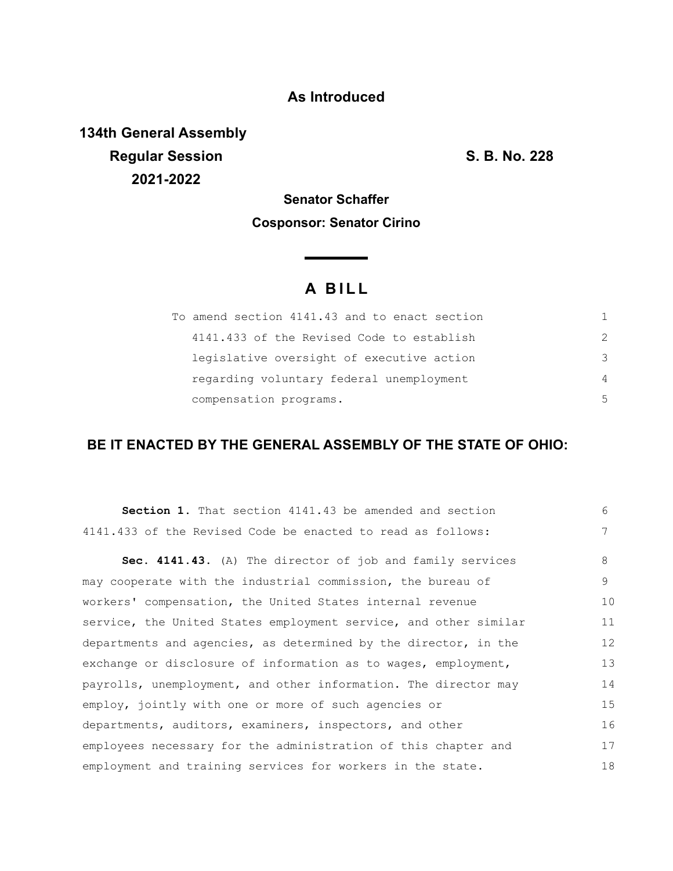### **As Introduced**

**134th General Assembly Regular Session S. B. No. 228 2021-2022**

## **Senator Schaffer Cosponsor: Senator Cirino**

<u> The Common State</u>

# **A B I L L**

| To amend section 4141.43 and to enact section |               |
|-----------------------------------------------|---------------|
| 4141.433 of the Revised Code to establish     | $\mathcal{P}$ |
| legislative oversight of executive action     | 3             |
| regarding voluntary federal unemployment      | 4             |
| compensation programs.                        | 5             |

### **BE IT ENACTED BY THE GENERAL ASSEMBLY OF THE STATE OF OHIO:**

| <b>Section 1.</b> That section 4141.43 be amended and section    | 6               |
|------------------------------------------------------------------|-----------------|
| 4141.433 of the Revised Code be enacted to read as follows:      | $7\phantom{.0}$ |
| Sec. 4141.43. (A) The director of job and family services        | 8               |
| may cooperate with the industrial commission, the bureau of      | 9               |
| workers' compensation, the United States internal revenue        | 10              |
| service, the United States employment service, and other similar | 11              |
| departments and agencies, as determined by the director, in the  | 12              |
| exchange or disclosure of information as to wages, employment,   | 13              |
| payrolls, unemployment, and other information. The director may  | 14              |
| employ, jointly with one or more of such agencies or             | 15              |
| departments, auditors, examiners, inspectors, and other          | 16              |
| employees necessary for the administration of this chapter and   | 17              |
| employment and training services for workers in the state.       | 18              |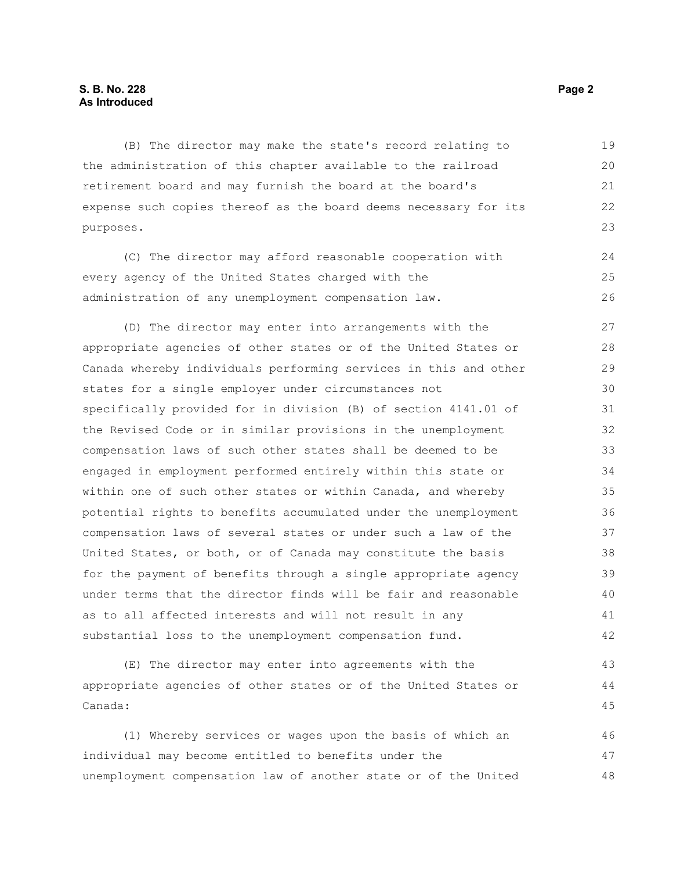#### **S. B. No. 228** Page 2 **As Introduced**

(B) The director may make the state's record relating to the administration of this chapter available to the railroad retirement board and may furnish the board at the board's expense such copies thereof as the board deems necessary for its purposes. 19 20 21 22 23

(C) The director may afford reasonable cooperation with every agency of the United States charged with the administration of any unemployment compensation law. 24 25 26

(D) The director may enter into arrangements with the appropriate agencies of other states or of the United States or Canada whereby individuals performing services in this and other states for a single employer under circumstances not specifically provided for in division (B) of section 4141.01 of the Revised Code or in similar provisions in the unemployment compensation laws of such other states shall be deemed to be engaged in employment performed entirely within this state or within one of such other states or within Canada, and whereby potential rights to benefits accumulated under the unemployment compensation laws of several states or under such a law of the United States, or both, or of Canada may constitute the basis for the payment of benefits through a single appropriate agency under terms that the director finds will be fair and reasonable as to all affected interests and will not result in any substantial loss to the unemployment compensation fund. 27 28 29 30 31 32 33 34 35 36 37 38 39 40 41 42

(E) The director may enter into agreements with the appropriate agencies of other states or of the United States or Canada:

(1) Whereby services or wages upon the basis of which an individual may become entitled to benefits under the unemployment compensation law of another state or of the United 46 47 48

43 44 45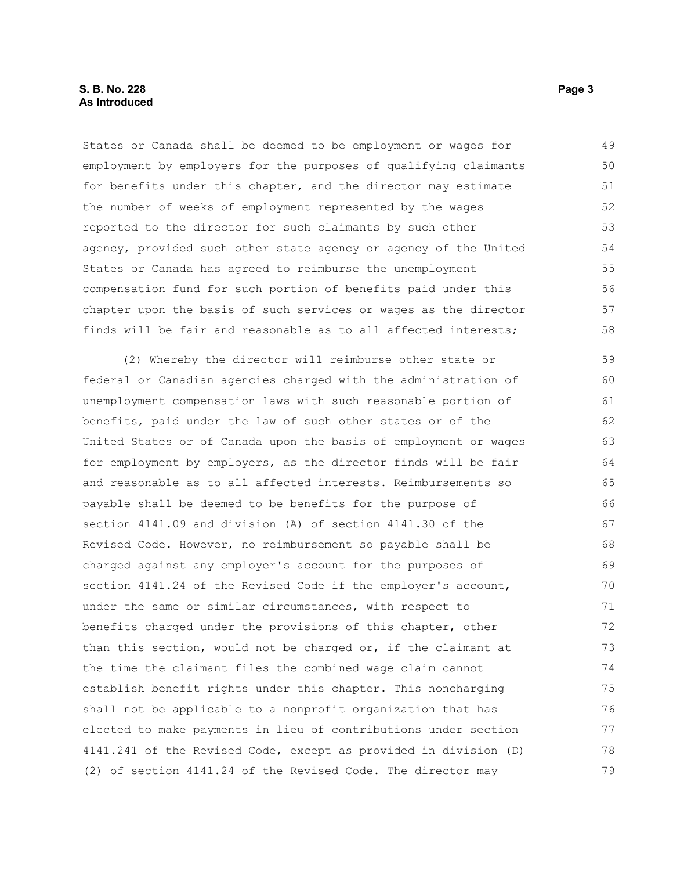States or Canada shall be deemed to be employment or wages for employment by employers for the purposes of qualifying claimants for benefits under this chapter, and the director may estimate the number of weeks of employment represented by the wages reported to the director for such claimants by such other agency, provided such other state agency or agency of the United States or Canada has agreed to reimburse the unemployment compensation fund for such portion of benefits paid under this chapter upon the basis of such services or wages as the director finds will be fair and reasonable as to all affected interests; 49 50 51 52 53 54 55 56 57 58

(2) Whereby the director will reimburse other state or federal or Canadian agencies charged with the administration of unemployment compensation laws with such reasonable portion of benefits, paid under the law of such other states or of the United States or of Canada upon the basis of employment or wages for employment by employers, as the director finds will be fair and reasonable as to all affected interests. Reimbursements so payable shall be deemed to be benefits for the purpose of section 4141.09 and division (A) of section 4141.30 of the Revised Code. However, no reimbursement so payable shall be charged against any employer's account for the purposes of section 4141.24 of the Revised Code if the employer's account, under the same or similar circumstances, with respect to benefits charged under the provisions of this chapter, other than this section, would not be charged or, if the claimant at the time the claimant files the combined wage claim cannot establish benefit rights under this chapter. This noncharging shall not be applicable to a nonprofit organization that has elected to make payments in lieu of contributions under section 4141.241 of the Revised Code, except as provided in division (D) (2) of section 4141.24 of the Revised Code. The director may 59 60 61 62 63 64 65 66 67 68 69 70 71 72 73 74 75 76 77 78 79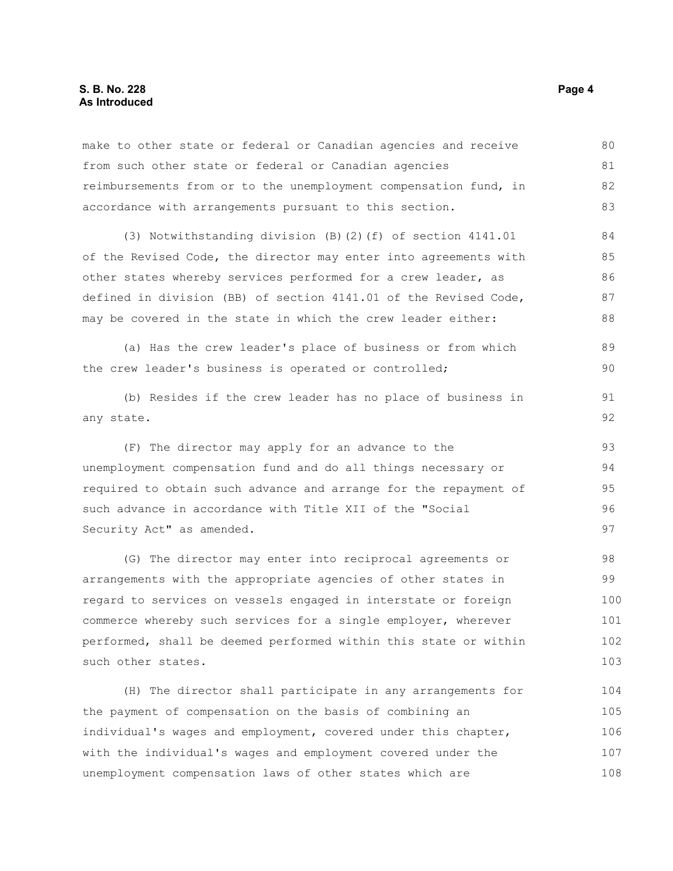make to other state or federal or Canadian agencies and receive from such other state or federal or Canadian agencies reimbursements from or to the unemployment compensation fund, in accordance with arrangements pursuant to this section. (3) Notwithstanding division (B)(2)(f) of section 4141.01 of the Revised Code, the director may enter into agreements with other states whereby services performed for a crew leader, as defined in division (BB) of section 4141.01 of the Revised Code, may be covered in the state in which the crew leader either: (a) Has the crew leader's place of business or from which the crew leader's business is operated or controlled; (b) Resides if the crew leader has no place of business in any state. (F) The director may apply for an advance to the unemployment compensation fund and do all things necessary or required to obtain such advance and arrange for the repayment of such advance in accordance with Title XII of the "Social Security Act" as amended. (G) The director may enter into reciprocal agreements or arrangements with the appropriate agencies of other states in regard to services on vessels engaged in interstate or foreign 80 81 82 83 84 85 86 87 88 89 90 91 92 93 94 95 96 97 98 99 100

commerce whereby such services for a single employer, wherever performed, shall be deemed performed within this state or within such other states. 101 102 103

(H) The director shall participate in any arrangements for the payment of compensation on the basis of combining an individual's wages and employment, covered under this chapter, with the individual's wages and employment covered under the unemployment compensation laws of other states which are 104 105 106 107 108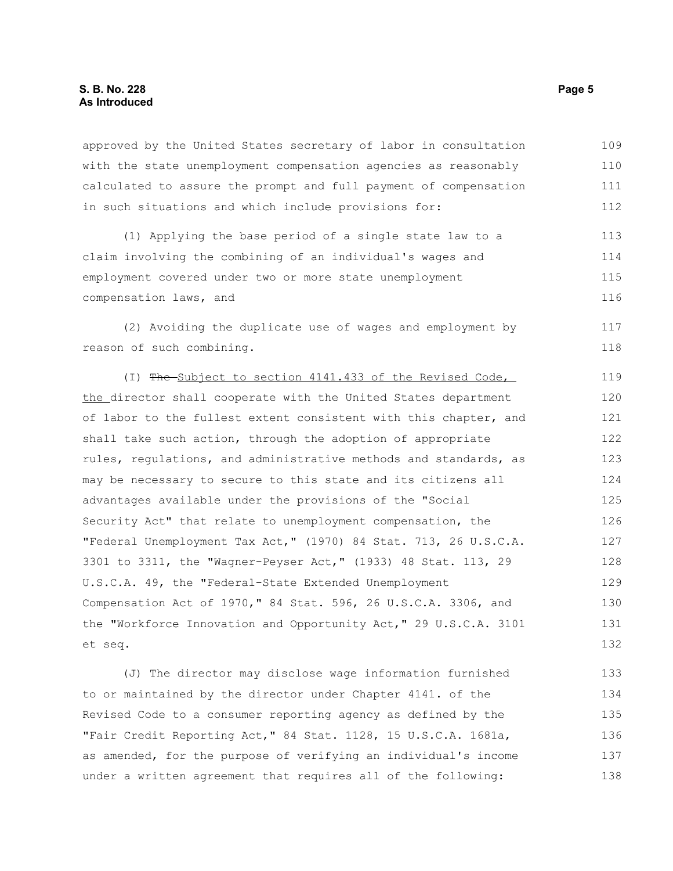approved by the United States secretary of labor in consultation with the state unemployment compensation agencies as reasonably calculated to assure the prompt and full payment of compensation in such situations and which include provisions for: 109 110 111 112

(1) Applying the base period of a single state law to a claim involving the combining of an individual's wages and employment covered under two or more state unemployment compensation laws, and 113 114 115 116

(2) Avoiding the duplicate use of wages and employment by reason of such combining. 117

(I) The Subject to section 4141.433 of the Revised Code, the director shall cooperate with the United States department of labor to the fullest extent consistent with this chapter, and shall take such action, through the adoption of appropriate rules, regulations, and administrative methods and standards, as may be necessary to secure to this state and its citizens all advantages available under the provisions of the "Social Security Act" that relate to unemployment compensation, the "Federal Unemployment Tax Act," (1970) 84 Stat. 713, 26 U.S.C.A. 3301 to 3311, the "Wagner-Peyser Act," (1933) 48 Stat. 113, 29 U.S.C.A. 49, the "Federal-State Extended Unemployment Compensation Act of 1970," 84 Stat. 596, 26 U.S.C.A. 3306, and the "Workforce Innovation and Opportunity Act," 29 U.S.C.A. 3101 et seq. 119 120 121 122 123 124 125 126 127 128 129 130 131 132

(J) The director may disclose wage information furnished to or maintained by the director under Chapter 4141. of the Revised Code to a consumer reporting agency as defined by the "Fair Credit Reporting Act," 84 Stat. 1128, 15 U.S.C.A. 1681a, as amended, for the purpose of verifying an individual's income under a written agreement that requires all of the following: 133 134 135 136 137 138

118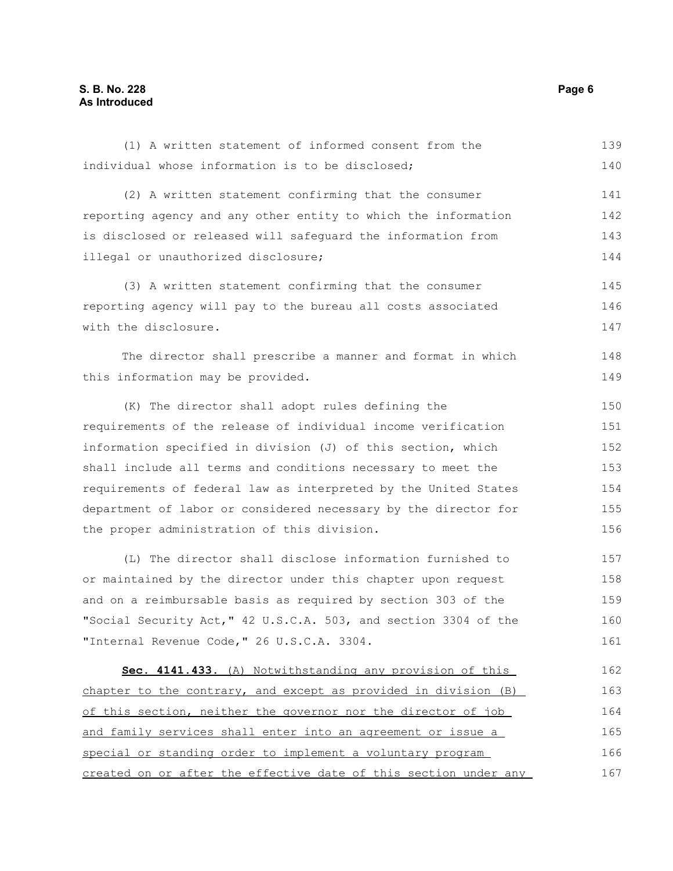#### **S. B. No. 228 Page 6 As Introduced**

| (2) A written statement confirming that the consumer            | 141 |
|-----------------------------------------------------------------|-----|
| reporting agency and any other entity to which the information  | 142 |
| is disclosed or released will safequard the information from    | 143 |
| illegal or unauthorized disclosure;                             |     |
| (3) A written statement confirming that the consumer            | 145 |
| reporting agency will pay to the bureau all costs associated    |     |
| with the disclosure.                                            | 147 |
| The director shall prescribe a manner and format in which       | 148 |
| this information may be provided.                               | 149 |
| (K) The director shall adopt rules defining the                 | 150 |
| requirements of the release of individual income verification   | 151 |
| information specified in division (J) of this section, which    | 152 |
| shall include all terms and conditions necessary to meet the    | 153 |
| requirements of federal law as interpreted by the United States | 154 |
| department of labor or considered necessary by the director for | 155 |
| the proper administration of this division.                     | 156 |
| (L) The director shall disclose information furnished to        | 157 |
| or maintained by the director under this chapter upon request   | 158 |
| and on a reimbursable basis as required by section 303 of the   | 159 |
| "Social Security Act," 42 U.S.C.A. 503, and section 3304 of the | 160 |
| "Internal Revenue Code," 26 U.S.C.A. 3304.                      | 161 |
| Sec. 4141.433. (A) Notwithstanding any provision of this        | 162 |
| chapter to the contrary, and except as provided in division (B) | 163 |
| of this section, neither the governor nor the director of job   | 164 |
| and family services shall enter into an agreement or issue a    | 165 |
| special or standing order to implement a voluntary program      | 166 |

(1) A written statement of informed consent from the

individual whose information is to be disclosed;

created on or after the effective date of this section under any 167

139 140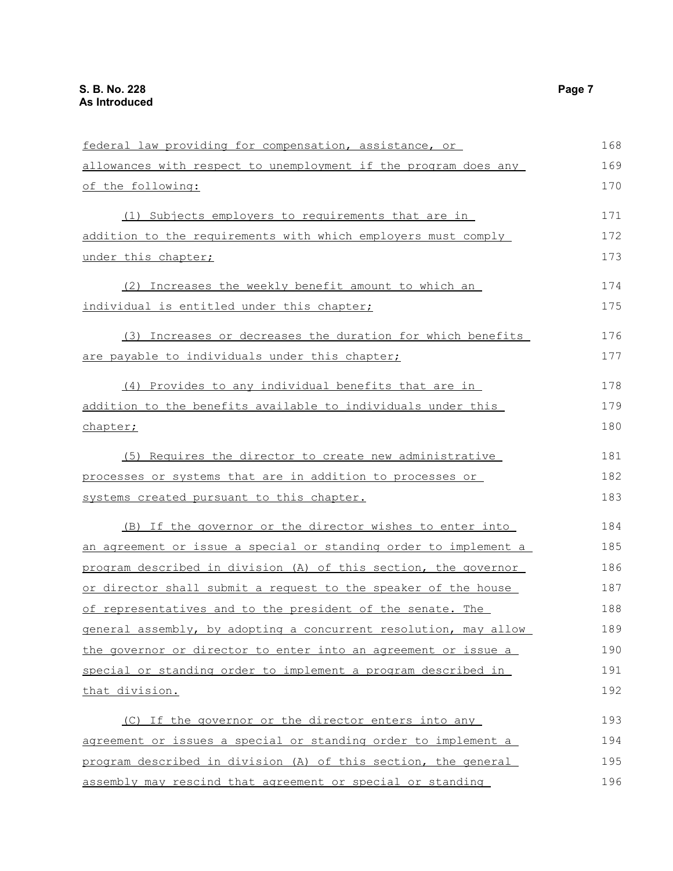| federal law providing for compensation, assistance, or           | 168 |
|------------------------------------------------------------------|-----|
| allowances with respect to unemployment if the program does any  |     |
| of the following:                                                | 170 |
| (1) Subjects employers to requirements that are in               | 171 |
| addition to the requirements with which employers must comply    | 172 |
| under this chapter;                                              | 173 |
| (2) Increases the weekly benefit amount to which an              | 174 |
| individual is entitled under this chapter;                       | 175 |
| (3) Increases or decreases the duration for which benefits       | 176 |
| are payable to individuals under this chapter;                   |     |
| (4) Provides to any individual benefits that are in              | 178 |
| addition to the benefits available to individuals under this     | 179 |
| chapter;                                                         | 180 |
| (5) Requires the director to create new administrative           | 181 |
| processes or systems that are in addition to processes or        |     |
| systems created pursuant to this chapter.                        | 183 |
| (B) If the governor or the director wishes to enter into         | 184 |
| an agreement or issue a special or standing order to implement a | 185 |
| program described in division (A) of this section, the governor  | 186 |
| or director shall submit a request to the speaker of the house   | 187 |
| of representatives and to the president of the senate. The       | 188 |
| general assembly, by adopting a concurrent resolution, may allow | 189 |
| the governor or director to enter into an agreement or issue a   | 190 |
| special or standing order to implement a program described in    | 191 |
| that division.                                                   | 192 |
| (C) If the governor or the director enters into any              | 193 |
| agreement or issues a special or standing order to implement a   | 194 |
| program described in division (A) of this section, the general   | 195 |
| assembly may rescind that agreement or special or standing       | 196 |